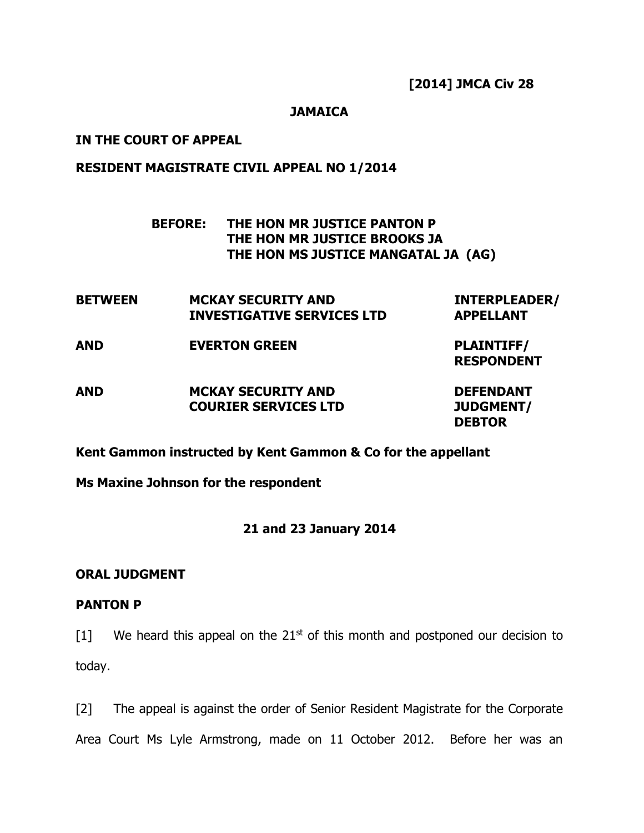# **JAMAICA**

### **IN THE COURT OF APPEAL**

# **RESIDENT MAGISTRATE CIVIL APPEAL NO 1/2014**

# **BEFORE: THE HON MR JUSTICE PANTON P THE HON MR JUSTICE BROOKS JA THE HON MS JUSTICE MANGATAL JA (AG)**

| <b>BETWEEN</b> | <b>MCKAY SECURITY AND</b>         | <b>INTERPLEADER/</b> |
|----------------|-----------------------------------|----------------------|
|                | <b>INVESTIGATIVE SERVICES LTD</b> | <b>APPELLANT</b>     |

**AND EVERTON GREEN PLAINTIFF/**

**RESPONDENT**

**DEBTOR**

**AND MCKAY SECURITY AND DEFENDANT COURIER SERVICES LTD JUDGMENT/**

**Kent Gammon instructed by Kent Gammon & Co for the appellant**

**Ms Maxine Johnson for the respondent**

### **21 and 23 January 2014**

## **ORAL JUDGMENT**

### **PANTON P**

 $[1]$  We heard this appeal on the 21<sup>st</sup> of this month and postponed our decision to today.

[2] The appeal is against the order of Senior Resident Magistrate for the Corporate Area Court Ms Lyle Armstrong, made on 11 October 2012. Before her was an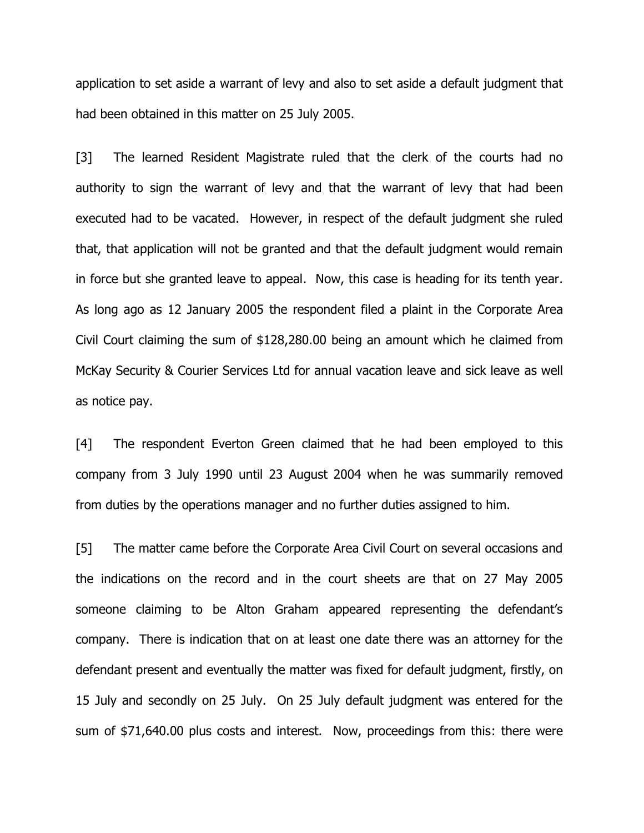application to set aside a warrant of levy and also to set aside a default judgment that had been obtained in this matter on 25 July 2005.

[3] The learned Resident Magistrate ruled that the clerk of the courts had no authority to sign the warrant of levy and that the warrant of levy that had been executed had to be vacated. However, in respect of the default judgment she ruled that, that application will not be granted and that the default judgment would remain in force but she granted leave to appeal. Now, this case is heading for its tenth year. As long ago as 12 January 2005 the respondent filed a plaint in the Corporate Area Civil Court claiming the sum of \$128,280.00 being an amount which he claimed from McKay Security & Courier Services Ltd for annual vacation leave and sick leave as well as notice pay.

[4] The respondent Everton Green claimed that he had been employed to this company from 3 July 1990 until 23 August 2004 when he was summarily removed from duties by the operations manager and no further duties assigned to him.

[5] The matter came before the Corporate Area Civil Court on several occasions and the indications on the record and in the court sheets are that on 27 May 2005 someone claiming to be Alton Graham appeared representing the defendant's company. There is indication that on at least one date there was an attorney for the defendant present and eventually the matter was fixed for default judgment, firstly, on 15 July and secondly on 25 July. On 25 July default judgment was entered for the sum of \$71,640.00 plus costs and interest. Now, proceedings from this: there were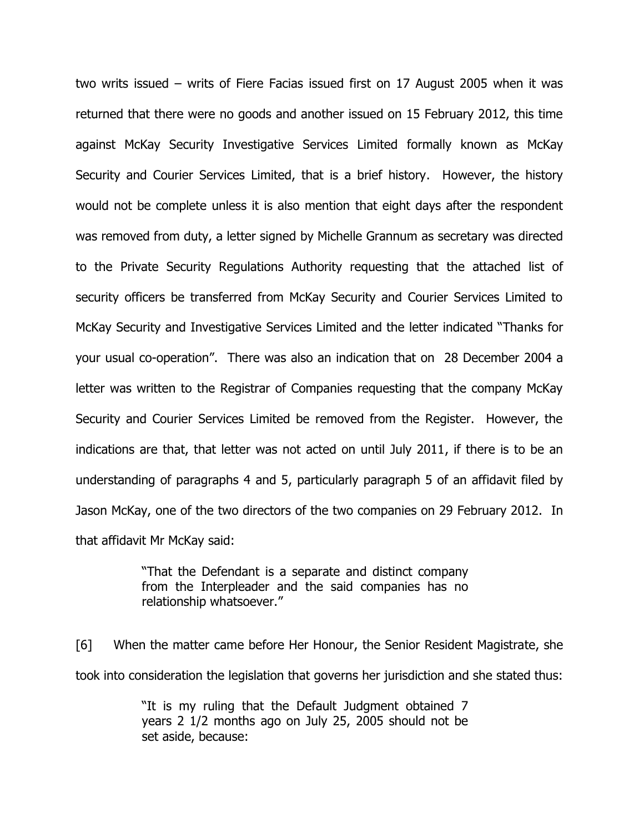two writs issued – writs of Fiere Facias issued first on 17 August 2005 when it was returned that there were no goods and another issued on 15 February 2012, this time against McKay Security Investigative Services Limited formally known as McKay Security and Courier Services Limited, that is a brief history. However, the history would not be complete unless it is also mention that eight days after the respondent was removed from duty, a letter signed by Michelle Grannum as secretary was directed to the Private Security Regulations Authority requesting that the attached list of security officers be transferred from McKay Security and Courier Services Limited to McKay Security and Investigative Services Limited and the letter indicated "Thanks for your usual co-operation". There was also an indication that on 28 December 2004 a letter was written to the Registrar of Companies requesting that the company McKay Security and Courier Services Limited be removed from the Register. However, the indications are that, that letter was not acted on until July 2011, if there is to be an understanding of paragraphs 4 and 5, particularly paragraph 5 of an affidavit filed by Jason McKay, one of the two directors of the two companies on 29 February 2012. In that affidavit Mr McKay said:

> "That the Defendant is a separate and distinct company from the Interpleader and the said companies has no relationship whatsoever."

[6] When the matter came before Her Honour, the Senior Resident Magistrate, she took into consideration the legislation that governs her jurisdiction and she stated thus:

> "It is my ruling that the Default Judgment obtained 7 years 2 1/2 months ago on July 25, 2005 should not be set aside, because: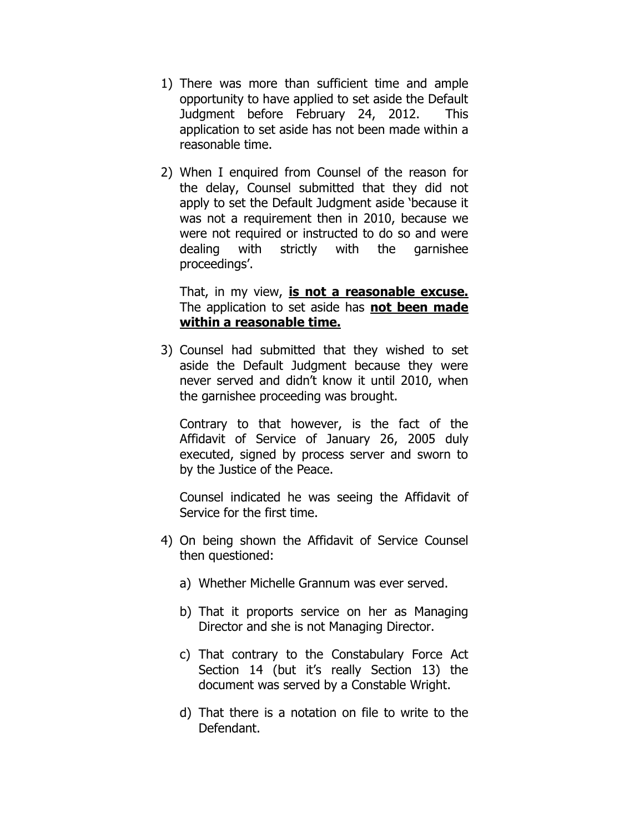- 1) There was more than sufficient time and ample opportunity to have applied to set aside the Default Judgment before February 24, 2012. This application to set aside has not been made within a reasonable time.
- 2) When I enquired from Counsel of the reason for the delay, Counsel submitted that they did not apply to set the Default Judgment aside 'because it was not a requirement then in 2010, because we were not required or instructed to do so and were dealing with strictly with the garnishee proceedings'.

That, in my view, **is not a reasonable excuse.** The application to set aside has **not been made within a reasonable time.**

3) Counsel had submitted that they wished to set aside the Default Judgment because they were never served and didn't know it until 2010, when the garnishee proceeding was brought.

Contrary to that however, is the fact of the Affidavit of Service of January 26, 2005 duly executed, signed by process server and sworn to by the Justice of the Peace.

Counsel indicated he was seeing the Affidavit of Service for the first time.

- 4) On being shown the Affidavit of Service Counsel then questioned:
	- a) Whether Michelle Grannum was ever served.
	- b) That it proports service on her as Managing Director and she is not Managing Director.
	- c) That contrary to the Constabulary Force Act Section 14 (but it's really Section 13) the document was served by a Constable Wright.
	- d) That there is a notation on file to write to the Defendant.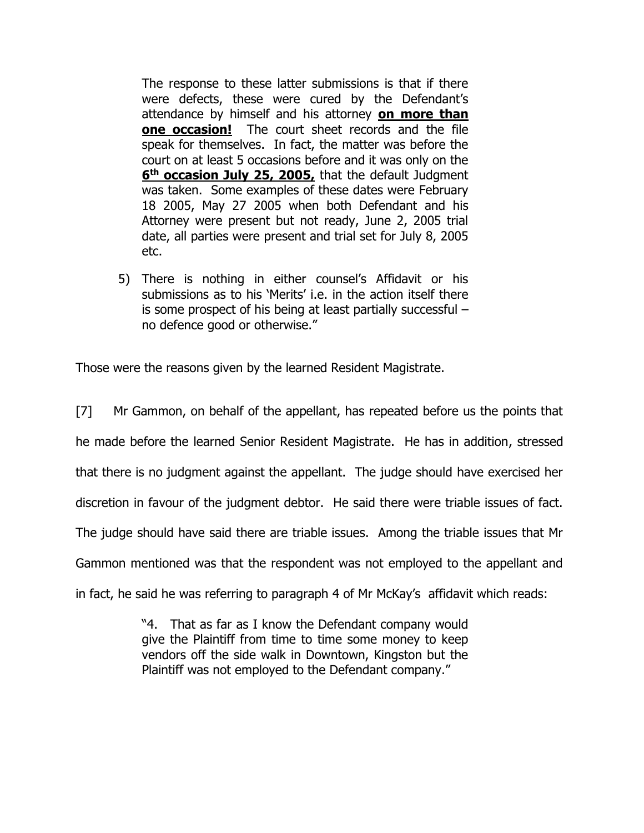The response to these latter submissions is that if there were defects, these were cured by the Defendant's attendance by himself and his attorney **on more than one occasion!** The court sheet records and the file speak for themselves. In fact, the matter was before the court on at least 5 occasions before and it was only on the **6 th occasion July 25, 2005,** that the default Judgment was taken. Some examples of these dates were February 18 2005, May 27 2005 when both Defendant and his Attorney were present but not ready, June 2, 2005 trial date, all parties were present and trial set for July 8, 2005 etc.

5) There is nothing in either counsel's Affidavit or his submissions as to his 'Merits' i.e. in the action itself there is some prospect of his being at least partially successful – no defence good or otherwise."

Those were the reasons given by the learned Resident Magistrate.

[7] Mr Gammon, on behalf of the appellant, has repeated before us the points that he made before the learned Senior Resident Magistrate. He has in addition, stressed that there is no judgment against the appellant. The judge should have exercised her discretion in favour of the judgment debtor. He said there were triable issues of fact. The judge should have said there are triable issues. Among the triable issues that Mr Gammon mentioned was that the respondent was not employed to the appellant and in fact, he said he was referring to paragraph 4 of Mr McKay's affidavit which reads:

> "4. That as far as I know the Defendant company would give the Plaintiff from time to time some money to keep vendors off the side walk in Downtown, Kingston but the Plaintiff was not employed to the Defendant company."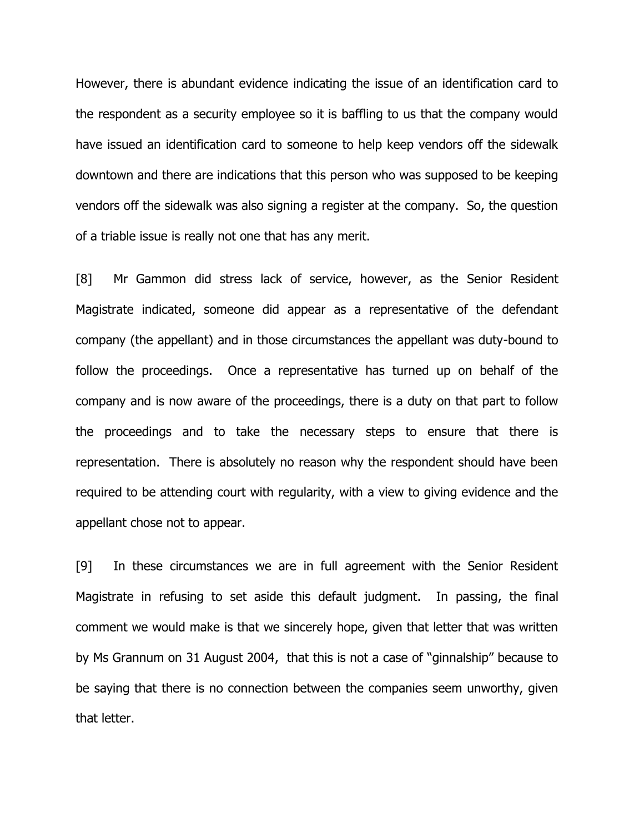However, there is abundant evidence indicating the issue of an identification card to the respondent as a security employee so it is baffling to us that the company would have issued an identification card to someone to help keep vendors off the sidewalk downtown and there are indications that this person who was supposed to be keeping vendors off the sidewalk was also signing a register at the company. So, the question of a triable issue is really not one that has any merit.

[8] Mr Gammon did stress lack of service, however, as the Senior Resident Magistrate indicated, someone did appear as a representative of the defendant company (the appellant) and in those circumstances the appellant was duty-bound to follow the proceedings. Once a representative has turned up on behalf of the company and is now aware of the proceedings, there is a duty on that part to follow the proceedings and to take the necessary steps to ensure that there is representation. There is absolutely no reason why the respondent should have been required to be attending court with regularity, with a view to giving evidence and the appellant chose not to appear.

[9] In these circumstances we are in full agreement with the Senior Resident Magistrate in refusing to set aside this default judgment. In passing, the final comment we would make is that we sincerely hope, given that letter that was written by Ms Grannum on 31 August 2004, that this is not a case of "ginnalship" because to be saying that there is no connection between the companies seem unworthy, given that letter.